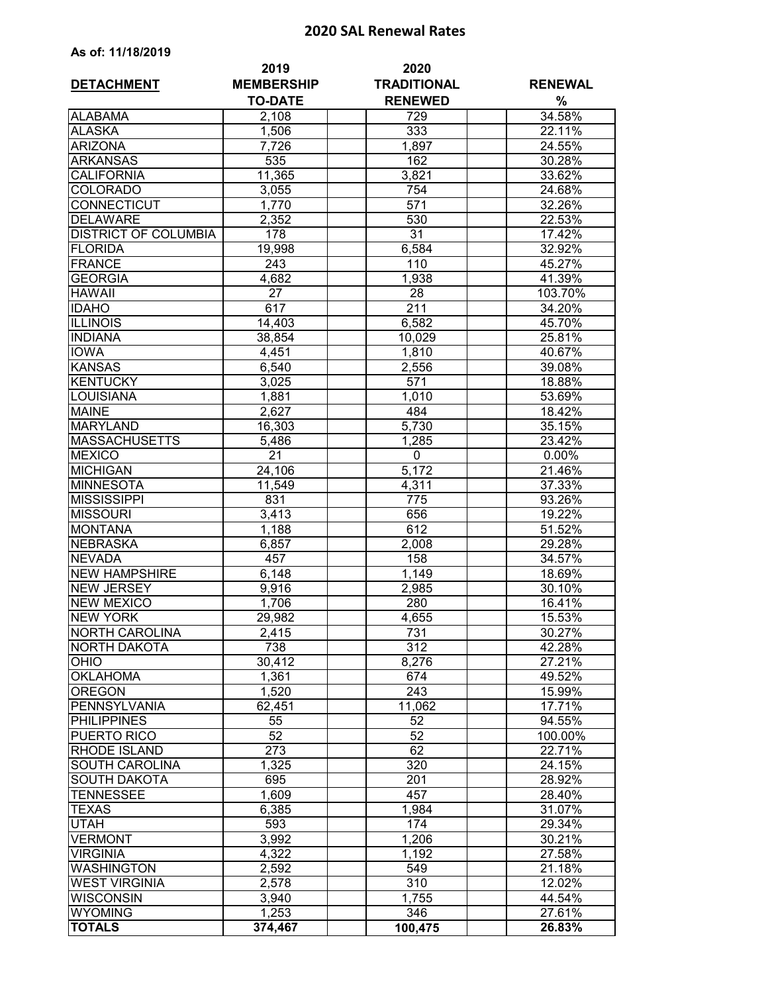## **2020 SAL Renewal Rates**

|                                        | 2019              | 2020                      |                  |
|----------------------------------------|-------------------|---------------------------|------------------|
| <b>DETACHMENT</b>                      | <b>MEMBERSHIP</b> | <b>TRADITIONAL</b>        | <b>RENEWAL</b>   |
|                                        | <b>TO-DATE</b>    | <b>RENEWED</b>            | %                |
| <b>ALABAMA</b>                         | 2,108             | 729                       | 34.58%           |
| <b>ALASKA</b>                          | 1,506             | $\overline{333}$          | 22.11%           |
| <b>ARIZONA</b>                         | 7,726             | 1,897                     | 24.55%           |
| <b>ARKANSAS</b>                        | 535               | 162                       | 30.28%           |
| <b>CALIFORNIA</b>                      | 11,365            | 3,821                     | 33.62%           |
| <b>COLORADO</b>                        | 3,055             | 754                       | 24.68%           |
| CONNECTICUT                            | 1,770             | 571                       | 32.26%           |
| <b>DELAWARE</b>                        | 2,352             | 530                       | 22.53%           |
| <b>DISTRICT OF COLUMBIA</b>            | 178               | $\overline{31}$           | 17.42%           |
| <b>FLORIDA</b>                         | 19,998            | 6,584                     | 32.92%           |
| <b>FRANCE</b>                          | 243               | 110                       | 45.27%           |
| <b>GEORGIA</b>                         | 4,682             | 1,938                     | 41.39%           |
| <b>HAWAII</b>                          | 27                | 28                        | 103.70%          |
| <b>IDAHO</b>                           | 617               | 211                       | 34.20%           |
| <b>ILLINOIS</b>                        | 14,403            | 6,582                     | 45.70%           |
| <b>INDIANA</b>                         | 38,854            | 10,029                    | 25.81%           |
| <b>IOWA</b>                            | 4,451             | 1,810                     | 40.67%           |
| <b>KANSAS</b>                          | 6,540             | 2,556                     | 39.08%           |
| <b>KENTUCKY</b>                        | 3,025             | 571                       | 18.88%           |
| LOUISIANA                              | 1,881             | 1,010                     | 53.69%           |
| <b>MAINE</b>                           | 2,627             | 484                       | 18.42%           |
| <b>MARYLAND</b>                        |                   |                           |                  |
| <b>MASSACHUSETTS</b>                   | 16,303            | 5,730                     | 35.15%<br>23.42% |
| <b>MEXICO</b>                          | 5,486<br>21       | 1,285<br>$\mathbf 0$      | 0.00%            |
| <b>MICHIGAN</b>                        |                   | 5,172                     |                  |
|                                        | 24,106            |                           | 21.46%           |
| <b>MINNESOTA</b><br><b>MISSISSIPPI</b> | 11,549<br>831     | 4,311<br>$\overline{775}$ | 37.33%<br>93.26% |
| <b>MISSOURI</b>                        |                   |                           | 19.22%           |
| <b>MONTANA</b>                         | 3,413<br>1,188    | 656<br>612                | 51.52%           |
| <b>NEBRASKA</b>                        |                   |                           |                  |
| <b>NEVADA</b>                          | 6,857<br>457      | 2,008<br>158              | 29.28%           |
| <b>NEW HAMPSHIRE</b>                   |                   |                           | 34.57%           |
| <b>NEW JERSEY</b>                      | 6,148             | 1,149                     | 18.69%           |
| <b>NEW MEXICO</b>                      | 9,916<br>1,706    | 2,985                     | 30.10%<br>16.41% |
|                                        |                   | 280                       |                  |
| <b>NEW YORK</b>                        | 29,982            | 4,655                     | 15.53%           |
| <b>NORTH CAROLINA</b>                  | 2,415             | 731                       | 30.27%           |
| <b>NORTH DAKOTA</b>                    | 738               | 312                       | 42.28%           |
| <b>OHIO</b>                            | 30,412            | 8,276                     | 27.21%<br>49.52% |
| <b>OKLAHOMA</b><br><b>OREGON</b>       | 1,361             | 674                       |                  |
|                                        | 1,520             | 243                       | 15.99%           |
| <b>PENNSYLVANIA</b>                    | 62,451            | 11,062                    | 17.71%           |
| <b>PHILIPPINES</b>                     | 55                | 52                        | 94.55%           |
| PUERTO RICO                            | 52                | 52                        | 100.00%          |
| RHODE ISLAND                           | 273               | 62                        | 22.71%           |
| <b>SOUTH CAROLINA</b>                  | 1,325             | 320                       | 24.15%           |
| <b>SOUTH DAKOTA</b>                    | 695               | 201                       | 28.92%           |
| <b>TENNESSEE</b>                       | 1,609             | 457                       | 28.40%           |
| <b>TEXAS</b>                           | 6,385             | 1,984                     | 31.07%           |
| <b>UTAH</b>                            | 593               | 174                       | 29.34%           |
| <b>VERMONT</b>                         | 3,992             | 1,206                     | 30.21%           |
| <b>VIRGINIA</b>                        | 4,322             | 1,192                     | 27.58%           |
| <b>WASHINGTON</b>                      | 2,592             | 549                       | 21.18%           |
| <b>WEST VIRGINIA</b>                   | 2,578             | 310                       | 12.02%           |
| <b>WISCONSIN</b>                       | 3,940             | 1,755                     | 44.54%           |
| <b>WYOMING</b>                         | 1,253             | 346                       | 27.61%           |
| <b>TOTALS</b>                          | 374,467           | 100,475                   | 26.83%           |

## **As of: 11/18/2019**